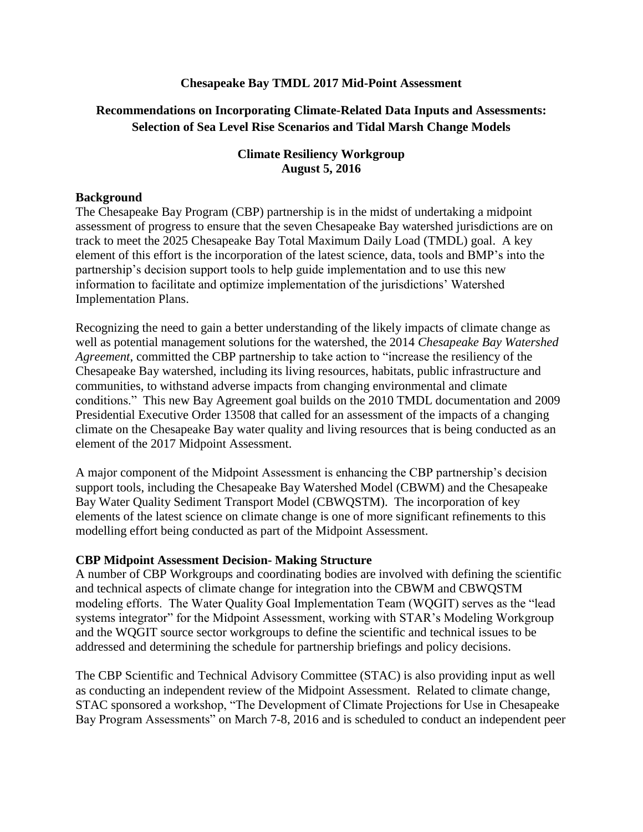### **Chesapeake Bay TMDL 2017 Mid-Point Assessment**

## **Recommendations on Incorporating Climate-Related Data Inputs and Assessments: Selection of Sea Level Rise Scenarios and Tidal Marsh Change Models**

### **Climate Resiliency Workgroup August 5, 2016**

#### **Background**

The Chesapeake Bay Program (CBP) partnership is in the midst of undertaking a midpoint assessment of progress to ensure that the seven Chesapeake Bay watershed jurisdictions are on track to meet the 2025 Chesapeake Bay Total Maximum Daily Load (TMDL) goal. A key element of this effort is the incorporation of the latest science, data, tools and BMP's into the partnership's decision support tools to help guide implementation and to use this new information to facilitate and optimize implementation of the jurisdictions' Watershed Implementation Plans.

Recognizing the need to gain a better understanding of the likely impacts of climate change as well as potential management solutions for the watershed, the 2014 *Chesapeake Bay Watershed Agreement*, committed the CBP partnership to take action to "increase the resiliency of the Chesapeake Bay watershed, including its living resources, habitats, public infrastructure and communities, to withstand adverse impacts from changing environmental and climate conditions." This new Bay Agreement goal builds on the 2010 TMDL documentation and 2009 Presidential Executive Order 13508 that called for an assessment of the impacts of a changing climate on the Chesapeake Bay water quality and living resources that is being conducted as an element of the 2017 Midpoint Assessment.

A major component of the Midpoint Assessment is enhancing the CBP partnership's decision support tools, including the Chesapeake Bay Watershed Model (CBWM) and the Chesapeake Bay Water Quality Sediment Transport Model (CBWQSTM). The incorporation of key elements of the latest science on climate change is one of more significant refinements to this modelling effort being conducted as part of the Midpoint Assessment.

### **CBP Midpoint Assessment Decision- Making Structure**

A number of CBP Workgroups and coordinating bodies are involved with defining the scientific and technical aspects of climate change for integration into the CBWM and CBWQSTM modeling efforts. The Water Quality Goal Implementation Team (WQGIT) serves as the "lead systems integrator" for the Midpoint Assessment, working with STAR's Modeling Workgroup and the WQGIT source sector workgroups to define the scientific and technical issues to be addressed and determining the schedule for partnership briefings and policy decisions.

The CBP Scientific and Technical Advisory Committee (STAC) is also providing input as well as conducting an independent review of the Midpoint Assessment. Related to climate change, STAC sponsored a workshop, "The Development of Climate Projections for Use in Chesapeake Bay Program Assessments" on March 7-8, 2016 and is scheduled to conduct an independent peer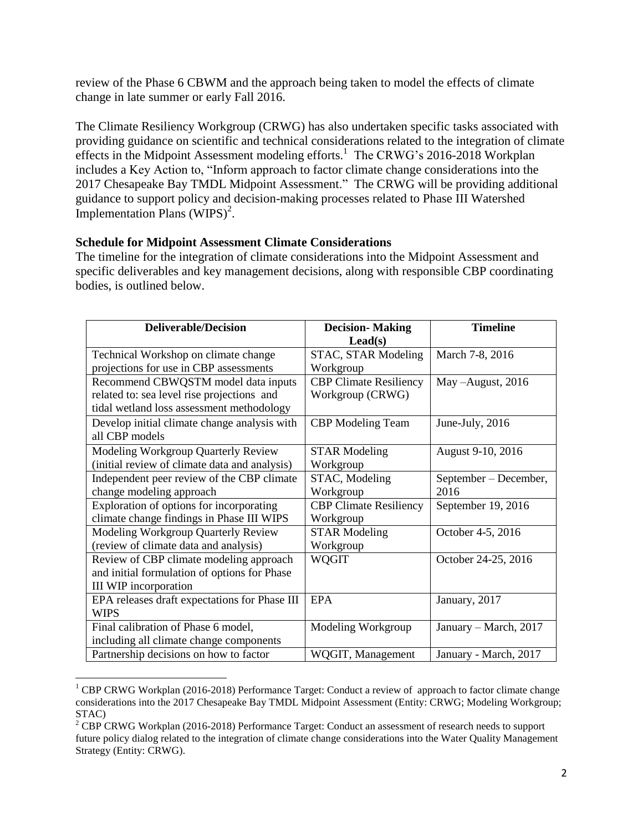review of the Phase 6 CBWM and the approach being taken to model the effects of climate change in late summer or early Fall 2016.

The Climate Resiliency Workgroup (CRWG) has also undertaken specific tasks associated with providing guidance on scientific and technical considerations related to the integration of climate effects in the Midpoint Assessment modeling efforts.<sup>1</sup> The CRWG's 2016-2018 Workplan includes a Key Action to, "Inform approach to factor climate change considerations into the 2017 Chesapeake Bay TMDL Midpoint Assessment." The CRWG will be providing additional guidance to support policy and decision-making processes related to Phase III Watershed Implementation Plans  $(WIPS)^2$ .

### **Schedule for Midpoint Assessment Climate Considerations**

l

The timeline for the integration of climate considerations into the Midpoint Assessment and specific deliverables and key management decisions, along with responsible CBP coordinating bodies, is outlined below.

| <b>Deliverable/Decision</b>                   | <b>Decision-Making</b>        | <b>Timeline</b>       |  |
|-----------------------------------------------|-------------------------------|-----------------------|--|
|                                               | $\text{Lead}(s)$              |                       |  |
| Technical Workshop on climate change          | STAC, STAR Modeling           | March 7-8, 2016       |  |
| projections for use in CBP assessments        | Workgroup                     |                       |  |
| Recommend CBWQSTM model data inputs           | <b>CBP Climate Resiliency</b> | May -August, 2016     |  |
| related to: sea level rise projections and    | Workgroup (CRWG)              |                       |  |
| tidal wetland loss assessment methodology     |                               |                       |  |
| Develop initial climate change analysis with  | <b>CBP</b> Modeling Team      | June-July, 2016       |  |
| all CBP models                                |                               |                       |  |
| <b>Modeling Workgroup Quarterly Review</b>    | <b>STAR Modeling</b>          | August 9-10, 2016     |  |
| (initial review of climate data and analysis) | Workgroup                     |                       |  |
| Independent peer review of the CBP climate    | STAC, Modeling                | September – December, |  |
| change modeling approach                      | Workgroup                     | 2016                  |  |
| Exploration of options for incorporating      | <b>CBP Climate Resiliency</b> | September 19, 2016    |  |
| climate change findings in Phase III WIPS     | Workgroup                     |                       |  |
| Modeling Workgroup Quarterly Review           | <b>STAR Modeling</b>          | October 4-5, 2016     |  |
| (review of climate data and analysis)         | Workgroup                     |                       |  |
| Review of CBP climate modeling approach       | <b>WQGIT</b>                  | October 24-25, 2016   |  |
| and initial formulation of options for Phase  |                               |                       |  |
| III WIP incorporation                         |                               |                       |  |
| EPA releases draft expectations for Phase III | <b>EPA</b>                    | January, 2017         |  |
| <b>WIPS</b>                                   |                               |                       |  |
| Final calibration of Phase 6 model,           | Modeling Workgroup            | January – March, 2017 |  |
| including all climate change components       |                               |                       |  |
| Partnership decisions on how to factor        | WQGIT, Management             | January - March, 2017 |  |

<sup>&</sup>lt;sup>1</sup> CBP CRWG Workplan (2016-2018) Performance Target: Conduct a review of approach to factor climate change considerations into the 2017 Chesapeake Bay TMDL Midpoint Assessment (Entity: CRWG; Modeling Workgroup; STAC)

<sup>&</sup>lt;sup>2</sup> CBP CRWG Workplan (2016-2018) Performance Target: Conduct an assessment of research needs to support future policy dialog related to the integration of climate change considerations into the Water Quality Management Strategy (Entity: CRWG).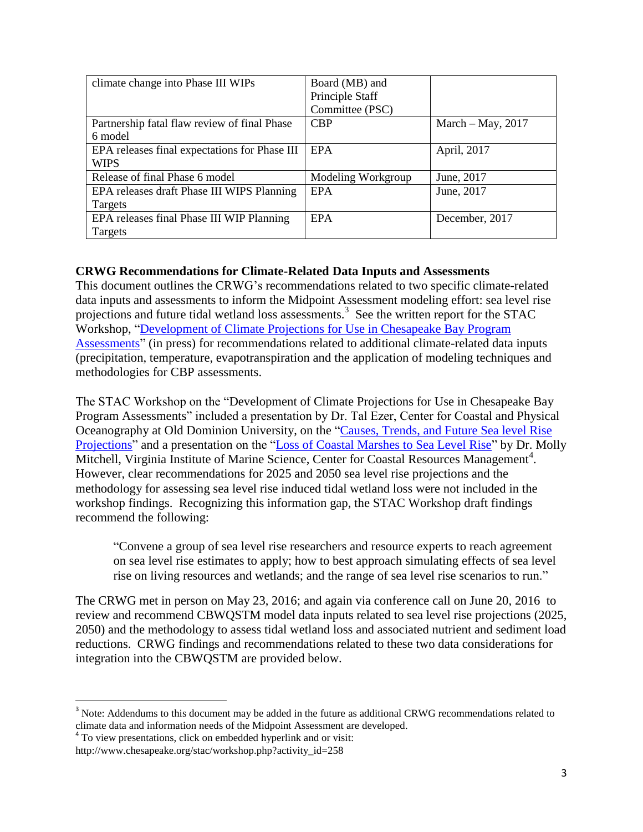| climate change into Phase III WIPs            | Board (MB) and     |                     |
|-----------------------------------------------|--------------------|---------------------|
|                                               | Principle Staff    |                     |
|                                               | Committee (PSC)    |                     |
| Partnership fatal flaw review of final Phase  | <b>CBP</b>         | March $-May$ , 2017 |
| 6 model                                       |                    |                     |
| EPA releases final expectations for Phase III | <b>EPA</b>         | April, 2017         |
| <b>WIPS</b>                                   |                    |                     |
| Release of final Phase 6 model                | Modeling Workgroup | June, 2017          |
| EPA releases draft Phase III WIPS Planning    | <b>EPA</b>         | June, 2017          |
| Targets                                       |                    |                     |
| EPA releases final Phase III WIP Planning     | <b>EPA</b>         | December, 2017      |
| Targets                                       |                    |                     |

## **CRWG Recommendations for Climate-Related Data Inputs and Assessments**

This document outlines the CRWG's recommendations related to two specific climate-related data inputs and assessments to inform the Midpoint Assessment modeling effort: sea level rise projections and future tidal wetland loss assessments.<sup>3</sup> See the written report for the STAC Workshop, ["Development of Climate Projections for Use in Chesapeake Bay Program](http://www.chesapeake.org/stac/workshop.php?activity_id=258)  [Assessments"](http://www.chesapeake.org/stac/workshop.php?activity_id=258) (in press) for recommendations related to additional climate-related data inputs (precipitation, temperature, evapotranspiration and the application of modeling techniques and methodologies for CBP assessments.

The STAC Workshop on the "Development of Climate Projections for Use in Chesapeake Bay Program Assessments" included a presentation by Dr. Tal Ezer, Center for Coastal and Physical Oceanography at Old Dominion University, on the ["Causes, Trends, and Future Sea level Rise](http://www.chesapeake.org/stac/presentations/258_Ezer_STAC_Mar2016.pdf)  [Projections"](http://www.chesapeake.org/stac/presentations/258_Ezer_STAC_Mar2016.pdf) and a presentation on the ["Loss of Coastal Marshes to Sea Level Rise"](http://www.chesapeake.org/stac/presentations/258_Mitchell_STAC%20Workshop%20-%20Marsh%20Change.pdf) by Dr. Molly Mitchell, Virginia Institute of Marine Science, Center for Coastal Resources Management<sup>4</sup>. However, clear recommendations for 2025 and 2050 sea level rise projections and the methodology for assessing sea level rise induced tidal wetland loss were not included in the workshop findings. Recognizing this information gap, the STAC Workshop draft findings recommend the following:

"Convene a group of sea level rise researchers and resource experts to reach agreement on sea level rise estimates to apply; how to best approach simulating effects of sea level rise on living resources and wetlands; and the range of sea level rise scenarios to run."

The CRWG met in person on May 23, 2016; and again via conference call on June 20, 2016 to review and recommend CBWQSTM model data inputs related to sea level rise projections (2025, 2050) and the methodology to assess tidal wetland loss and associated nutrient and sediment load reductions. CRWG findings and recommendations related to these two data considerations for integration into the CBWQSTM are provided below.

 $\overline{\phantom{a}}$ 

<sup>&</sup>lt;sup>3</sup> Note: Addendums to this document may be added in the future as additional CRWG recommendations related to climate data and information needs of the Midpoint Assessment are developed. 4 To view presentations, click on embedded hyperlink and or visit:

http://www.chesapeake.org/stac/workshop.php?activity\_id=258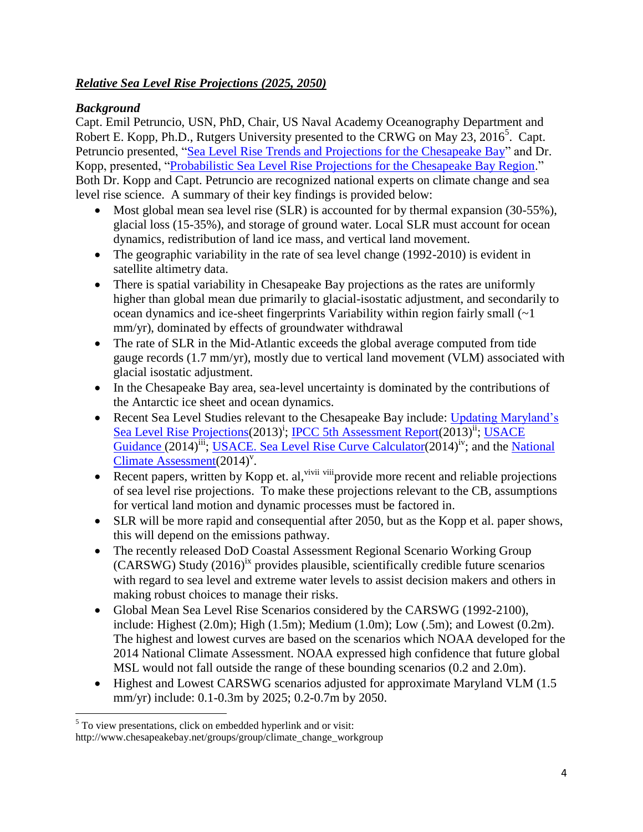# *Relative Sea Level Rise Projections (2025, 2050)*

# *Background*

Capt. Emil Petruncio, USN, PhD, Chair, US Naval Academy Oceanography Department and Robert E. Kopp, Ph.D., Rutgers University presented to the CRWG on May 23, 2016<sup>5</sup>. Capt. Petruncio presented, ["Sea Level Rise Trends and Projections for the Chesapeake Bay"](http://www.chesapeakebay.net/channel_files/23786/sea_level_rise_scenarios_23may2016_final.pdf) and Dr. Kopp, presented, ["Probabilistic Sea Level Rise Projections for the Chesapeake Bay Region.](http://www.chesapeakebay.net/channel_files/23786/2016-05_chesapeake_sea_level_talk.pdf)" Both Dr. Kopp and Capt. Petruncio are recognized national experts on climate change and sea level rise science. A summary of their key findings is provided below:

- Most global mean sea level rise (SLR) is accounted for by thermal expansion (30-55%), glacial loss (15-35%), and storage of ground water. Local SLR must account for ocean dynamics, redistribution of land ice mass, and vertical land movement.
- The geographic variability in the rate of sea level change (1992-2010) is evident in satellite altimetry data.
- There is spatial variability in Chesapeake Bay projections as the rates are uniformly higher than global mean due primarily to glacial-isostatic adjustment, and secondarily to ocean dynamics and ice-sheet fingerprints Variability within region fairly small (~1 mm/yr), dominated by effects of groundwater withdrawal
- The rate of SLR in the Mid-Atlantic exceeds the global average computed from tide gauge records (1.7 mm/yr), mostly due to vertical land movement (VLM) associated with glacial isostatic adjustment.
- In the Chesapeake Bay area, sea-level uncertainty is dominated by the contributions of the Antarctic ice sheet and ocean dynamics.
- Recent Sea Level Studies relevant to the Chesapeake Bay include: Updating Maryland's Sea Level Rise Projections (2013)<sup>†</sup>; IPCC 5th Assessment Report (2013)<sup>ii</sup>; USACE [Guidance](http://www.publications.usace.army.mil/Portals/76/Publications/EngineerRegulations/ER_1100-2-8162.pdf) (2014)<sup>iii</sup>; [USACE. Sea Level Rise Curve Calculator\(](http://www.corpsclimate.us/ccaceslcurves.cfm)2014)<sup>iv</sup>; and the National Climate  $\overline{A}$ ssessment $(2014)^{v}$ .
- Recent papers, written by Kopp et. al,  $\frac{1}{1}$  vivii viii provide more recent and reliable projections of sea level rise projections. To make these projections relevant to the CB, assumptions for vertical land motion and dynamic processes must be factored in.
- SLR will be more rapid and consequential after 2050, but as the Kopp et al. paper shows, this will depend on the emissions pathway.
- The recently released DoD Coastal Assessment Regional Scenario Working Group (CARSWG) Study (2016)ix provides plausible, scientifically credible future scenarios with regard to sea level and extreme water levels to assist decision makers and others in making robust choices to manage their risks.
- Global Mean Sea Level Rise Scenarios considered by the CARSWG (1992-2100), include: Highest (2.0m); High (1.5m); Medium (1.0m); Low (.5m); and Lowest (0.2m). The highest and lowest curves are based on the scenarios which NOAA developed for the 2014 National Climate Assessment. NOAA expressed high confidence that future global MSL would not fall outside the range of these bounding scenarios (0.2 and 2.0m).
- Highest and Lowest CARSWG scenarios adjusted for approximate Maryland VLM (1.5) mm/yr) include: 0.1-0.3m by 2025; 0.2-0.7m by 2050.

 $\overline{\phantom{a}}$ <sup>5</sup> To view presentations, click on embedded hyperlink and or visit:

http://www.chesapeakebay.net/groups/group/climate\_change\_workgroup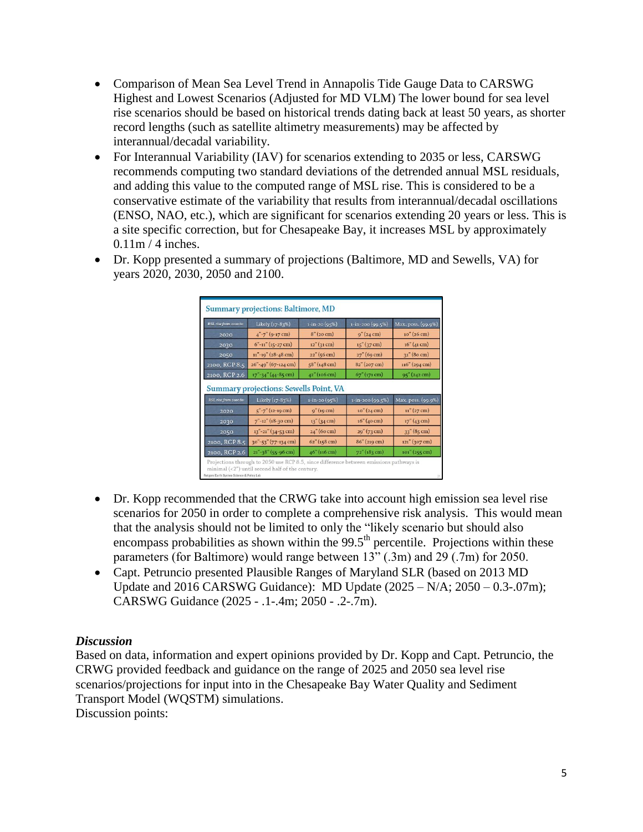- Comparison of Mean Sea Level Trend in Annapolis Tide Gauge Data to CARSWG Highest and Lowest Scenarios (Adjusted for MD VLM) The lower bound for sea level rise scenarios should be based on historical trends dating back at least 50 years, as shorter record lengths (such as satellite altimetry measurements) may be affected by interannual/decadal variability.
- For Interannual Variability (IAV) for scenarios extending to 2035 or less, CARSWG recommends computing two standard deviations of the detrended annual MSL residuals, and adding this value to the computed range of MSL rise. This is considered to be a conservative estimate of the variability that results from interannual/decadal oscillations (ENSO, NAO, etc.), which are significant for scenarios extending 20 years or less. This is a site specific correction, but for Chesapeake Bay, it increases MSL by approximately  $0.11$ m / 4 inches.
- Dr. Kopp presented a summary of projections (Baltimore, MD and Sewells, VA) for years 2020, 2030, 2050 and 2100.

| RSL rise from 2000 to: | Likely (17-83%)                           | $1 - in - 20(95%)$                | 1-in-200 (99.5%)                               | Max. poss. (99.9%)                   |
|------------------------|-------------------------------------------|-----------------------------------|------------------------------------------------|--------------------------------------|
| 2020                   | $4" -7" (9-17 cm)$                        | 8" (20 cm)                        | $9''(24 \text{ cm})$                           | $10''(26 \text{ cm})$                |
| 2030                   | $6"$ -11" (15-27 cm)                      | $12''$ (31 cm)                    | $15''$ (37 cm)                                 | 16'' (41 cm)                         |
| 2050                   | $11" - 19" (28 - 48$ cm)                  | 22'' (56 cm)                      | 27" (69 cm)                                    | 31" (80 cm)                          |
| 2100, RCP 8.5          | 26"-49" (67-124 cm)                       | $58''$ (148 cm)                   | $82''(207)$ cm)                                | $116''(294 \text{ cm})$              |
| 2100, RCP 2.6          | $17" - 34" (44 - 85 cm)$                  | 42" (106 cm)                      | 67" (171 cm)                                   | 95" (242 cm)                         |
|                        | Summary projections: Sewells Point, VA    |                                   |                                                |                                      |
| RSL rise from 2000 to: |                                           |                                   |                                                |                                      |
| 2020                   | Likely (17-83%)<br>$5" - 7" (12 - 19 cm)$ | $1 - in - 20(95%)$<br>9'' (19 cm) | $1 - in - 200(99.5%)$<br>$10''(24 \text{ cm})$ | $11''(27 \text{ cm})$                |
| 2030                   | $7" - 12"$ (18-30 cm)                     | $13''$ (34 cm)                    | 16'' (40 cm)                                   | $17''(43 \text{ cm})$                |
| 2050                   | $13" - 21"$ (34-53 cm)                    | $24''$ (60 cm)                    | $29''(73 \text{ cm})$                          | Max. poss. (99.9%)<br>$33''$ (85 cm) |
| 2100, RCP 8.5          | 30"-53" (77-134 cm)                       | $62''$ (158 cm)                   | $86''$ (219 cm)                                | $121''(307 \text{ cm})$              |

- Dr. Kopp recommended that the CRWG take into account high emission sea level rise scenarios for 2050 in order to complete a comprehensive risk analysis. This would mean that the analysis should not be limited to only the "likely scenario but should also encompass probabilities as shown within the  $99.5<sup>th</sup>$  percentile. Projections within these parameters (for Baltimore) would range between 13" (.3m) and 29 (.7m) for 2050.
- Capt. Petruncio presented Plausible Ranges of Maryland SLR (based on 2013 MD Update and 2016 CARSWG Guidance): MD Update  $(2025 - N/A; 2050 - 0.3-.07m)$ ; CARSWG Guidance (2025 - .1-.4m; 2050 - .2-.7m).

## *Discussion*

Based on data, information and expert opinions provided by Dr. Kopp and Capt. Petruncio, the CRWG provided feedback and guidance on the range of 2025 and 2050 sea level rise scenarios/projections for input into in the Chesapeake Bay Water Quality and Sediment Transport Model (WQSTM) simulations.

Discussion points: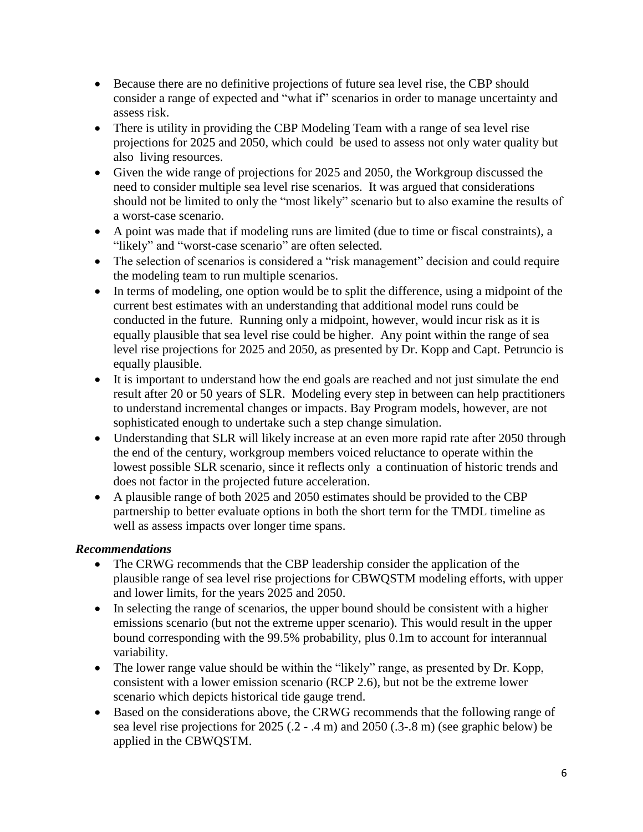- Because there are no definitive projections of future sea level rise, the CBP should consider a range of expected and "what if" scenarios in order to manage uncertainty and assess risk.
- There is utility in providing the CBP Modeling Team with a range of sea level rise projections for 2025 and 2050, which could be used to assess not only water quality but also living resources.
- Given the wide range of projections for 2025 and 2050, the Workgroup discussed the need to consider multiple sea level rise scenarios. It was argued that considerations should not be limited to only the "most likely" scenario but to also examine the results of a worst-case scenario.
- A point was made that if modeling runs are limited (due to time or fiscal constraints), a "likely" and "worst-case scenario" are often selected.
- The selection of scenarios is considered a "risk management" decision and could require the modeling team to run multiple scenarios.
- In terms of modeling, one option would be to split the difference, using a midpoint of the current best estimates with an understanding that additional model runs could be conducted in the future. Running only a midpoint, however, would incur risk as it is equally plausible that sea level rise could be higher. Any point within the range of sea level rise projections for 2025 and 2050, as presented by Dr. Kopp and Capt. Petruncio is equally plausible.
- It is important to understand how the end goals are reached and not just simulate the end result after 20 or 50 years of SLR. Modeling every step in between can help practitioners to understand incremental changes or impacts. Bay Program models, however, are not sophisticated enough to undertake such a step change simulation.
- Understanding that SLR will likely increase at an even more rapid rate after 2050 through the end of the century, workgroup members voiced reluctance to operate within the lowest possible SLR scenario, since it reflects only a continuation of historic trends and does not factor in the projected future acceleration.
- A plausible range of both 2025 and 2050 estimates should be provided to the CBP partnership to better evaluate options in both the short term for the TMDL timeline as well as assess impacts over longer time spans.

# *Recommendations*

- The CRWG recommends that the CBP leadership consider the application of the plausible range of sea level rise projections for CBWQSTM modeling efforts, with upper and lower limits, for the years 2025 and 2050.
- In selecting the range of scenarios, the upper bound should be consistent with a higher emissions scenario (but not the extreme upper scenario). This would result in the upper bound corresponding with the 99.5% probability, plus 0.1m to account for interannual variability.
- The lower range value should be within the "likely" range, as presented by Dr. Kopp, consistent with a lower emission scenario (RCP 2.6), but not be the extreme lower scenario which depicts historical tide gauge trend.
- Based on the considerations above, the CRWG recommends that the following range of sea level rise projections for 2025 (.2 - .4 m) and 2050 (.3-.8 m) (see graphic below) be applied in the CBWQSTM.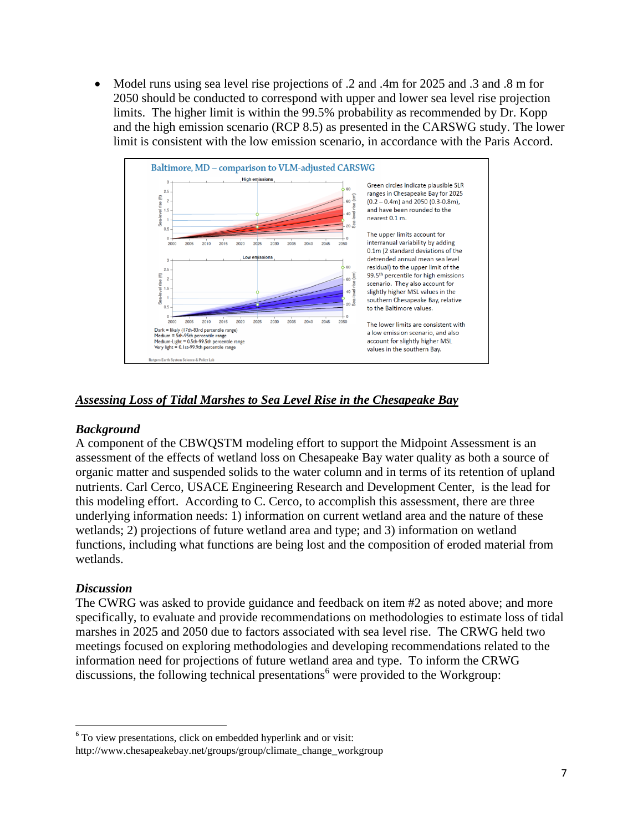Model runs using sea level rise projections of .2 and .4m for 2025 and .3 and .8 m for 2050 should be conducted to correspond with upper and lower sea level rise projection limits. The higher limit is within the 99.5% probability as recommended by Dr. Kopp and the high emission scenario (RCP 8.5) as presented in the CARSWG study. The lower limit is consistent with the low emission scenario, in accordance with the Paris Accord.



## *Assessing Loss of Tidal Marshes to Sea Level Rise in the Chesapeake Bay*

### *Background*

A component of the CBWQSTM modeling effort to support the Midpoint Assessment is an assessment of the effects of wetland loss on Chesapeake Bay water quality as both a source of organic matter and suspended solids to the water column and in terms of its retention of upland nutrients. Carl Cerco, USACE Engineering Research and Development Center, is the lead for this modeling effort. According to C. Cerco, to accomplish this assessment, there are three underlying information needs: 1) information on current wetland area and the nature of these wetlands; 2) projections of future wetland area and type; and 3) information on wetland functions, including what functions are being lost and the composition of eroded material from wetlands.

### *Discussion*

l

The CWRG was asked to provide guidance and feedback on item #2 as noted above; and more specifically, to evaluate and provide recommendations on methodologies to estimate loss of tidal marshes in 2025 and 2050 due to factors associated with sea level rise. The CRWG held two meetings focused on exploring methodologies and developing recommendations related to the information need for projections of future wetland area and type. To inform the CRWG discussions, the following technical presentations<sup>6</sup> were provided to the Workgroup:

<sup>&</sup>lt;sup>6</sup> To view presentations, click on embedded hyperlink and or visit: http://www.chesapeakebay.net/groups/group/climate\_change\_workgroup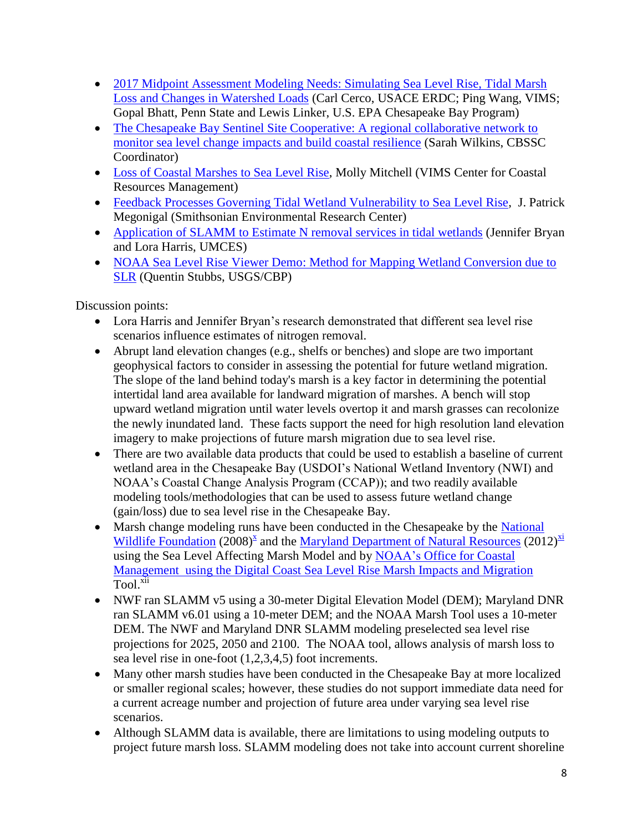- 2017 Midpoint Assessment Modeling Needs: Simulating Sea Level Rise, Tidal Marsh [Loss and Changes in Watershed Loads](http://www.chesapeakebay.net/channel_files/23786/cerco_052316.pdf) (Carl Cerco, USACE ERDC; Ping Wang, VIMS; Gopal Bhatt, Penn State and Lewis Linker, U.S. EPA Chesapeake Bay Program)
- The Chesapeake Bay Sentinel Site Cooperative: A regional collaborative network to monitor [sea level change impacts and build coastal resilience](http://www.chesapeakebay.net/channel_files/23786/s.wilkins_cbp_cwg_5-23.pdf) (Sarah Wilkins, CBSSC Coordinator)
- [Loss of Coastal Marshes to Sea Level Rise,](http://www.chesapeakebay.net/channel_files/23786/cc_workshop_may_2016-_marsh_change_mitchell.pdf) Molly Mitchell (VIMS Center for Coastal Resources Management)
- [Feedback Processes Governing Tidal Wetland Vulnerability to Sea Level Rise,](http://www.chesapeakebay.net/channel_files/23786/climate_resilience_working_group_(megonigal).pdf) J. Patrick Megonigal (Smithsonian Environmental Research Center)
- [Application of SLAMM to Estimate N removal services in tidal wetlands](http://www.chesapeakebay.net/channel_files/24077/harris_for_climate_resiliency.pdf) (Jennifer Bryan and Lora Harris, UMCES)
- NOAA Sea Level Rise Viewer Demo: Method for Mapping Wetland Conversion due to [SLR](http://www.chesapeakebay.net/channel_files/24077/noaa_sea_level_rise_viewer_demo_qs.pdf) (Quentin Stubbs, USGS/CBP)

Discussion points:

- Lora Harris and Jennifer Bryan's research demonstrated that different sea level rise scenarios influence estimates of nitrogen removal.
- Abrupt land elevation changes (e.g., shelfs or benches) and slope are two important geophysical factors to consider in assessing the potential for future wetland migration. The slope of the land behind today's marsh is a key factor in determining the potential intertidal land area available for landward migration of marshes. A bench will stop upward wetland migration until water levels overtop it and marsh grasses can recolonize the newly inundated land. These facts support the need for high resolution land elevation imagery to make projections of future marsh migration due to sea level rise.
- There are two available data products that could be used to establish a baseline of current wetland area in the Chesapeake Bay (USDOI's National Wetland Inventory (NWI) and NOAA's Coastal Change Analysis Program (CCAP)); and two readily available modeling tools/methodologies that can be used to assess future wetland change (gain/loss) due to sea level rise in the Chesapeake Bay.
- Marsh change modeling runs have been conducted in the Chesapeake by the National [Wildlife Foundation](https://www.nwf.org/pdf/Reports/FullSeaLevelRiseandCoastalHabitats_ChesapeakeRegion.pdf)  $(2008)^{x}$  and the [Maryland Department of Natural Resources](http://dnr2.maryland.gov/ccs/Documents/coastalland_conserv_md.pdf)  $(2012)^{x}$ using the Sea Level Affecting Marsh Model and by [NOAA's Office for Coastal](https://coast.noaa.gov/slr/)  Management using the Digital Coast [Sea Level Rise Marsh Impacts and Migration](https://coast.noaa.gov/slr/) Tool. xii
- NWF ran SLAMM v5 using a 30-meter Digital Elevation Model (DEM); Maryland DNR ran SLAMM v6.01 using a 10-meter DEM; and the NOAA Marsh Tool uses a 10-meter DEM. The NWF and Maryland DNR SLAMM modeling preselected sea level rise projections for 2025, 2050 and 2100. The NOAA tool, allows analysis of marsh loss to sea level rise in one-foot (1,2,3,4,5) foot increments.
- Many other marsh studies have been conducted in the Chesapeake Bay at more localized or smaller regional scales; however, these studies do not support immediate data need for a current acreage number and projection of future area under varying sea level rise scenarios.
- Although SLAMM data is available, there are limitations to using modeling outputs to project future marsh loss. SLAMM modeling does not take into account current shoreline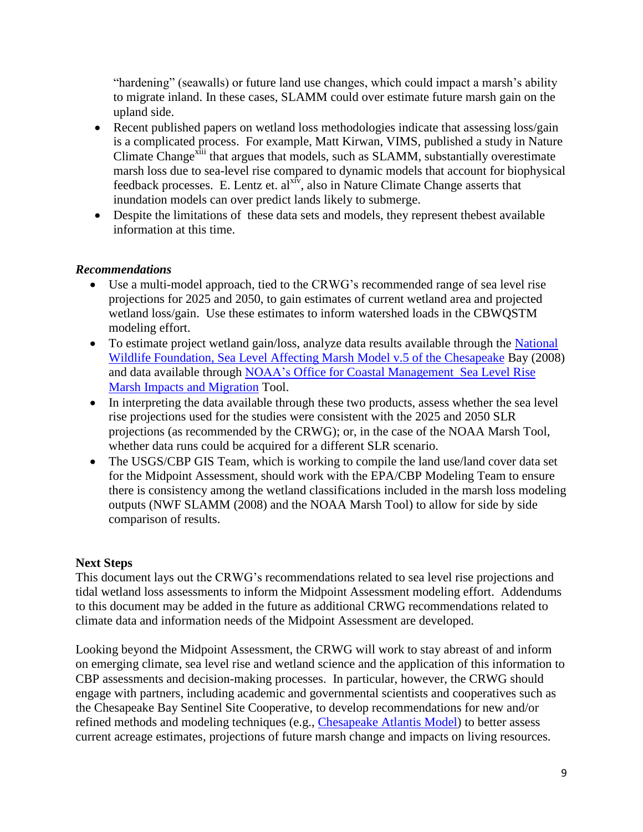"hardening" (seawalls) or future land use changes, which could impact a marsh's ability to migrate inland. In these cases, SLAMM could over estimate future marsh gain on the upland side.

- Recent published papers on wetland loss methodologies indicate that assessing loss/gain is a complicated process. For example, Matt Kirwan, VIMS, published a study in Nature Climate Change<sup>xiii</sup> that argues that models, such as SLAMM, substantially overestimate marsh loss due to sea-level rise compared to dynamic models that account for biophysical feedback processes. E. Lentz et. al $x^{x+y}$ , also in Nature Climate Change asserts that inundation models can over predict lands likely to submerge.
- Despite the limitations of these data sets and models, they represent the best available information at this time.

## *Recommendations*

- Use a multi-model approach, tied to the CRWG's recommended range of sea level rise projections for 2025 and 2050, to gain estimates of current wetland area and projected wetland loss/gain. Use these estimates to inform watershed loads in the CBWQSTM modeling effort.
- To estimate project wetland gain/loss, analyze data results available through the National [Wildlife Foundation, Sea Level Affecting Marsh Model v.5 of the Chesapeake](https://www.nwf.org/pdf/Reports/FullSeaLevelRiseandCoastalHabitats_ChesapeakeRegion.pdf) Bay (2008) and data available through [NOAA's Office for Coastal Management Sea Level Rise](https://coast.noaa.gov/slr/)  [Marsh Impacts and Migration](https://coast.noaa.gov/slr/) Tool.
- In interpreting the data available through these two products, assess whether the sea level rise projections used for the studies were consistent with the 2025 and 2050 SLR projections (as recommended by the CRWG); or, in the case of the NOAA Marsh Tool, whether data runs could be acquired for a different SLR scenario.
- The USGS/CBP GIS Team, which is working to compile the land use/land cover data set for the Midpoint Assessment, should work with the EPA/CBP Modeling Team to ensure there is consistency among the wetland classifications included in the marsh loss modeling outputs (NWF SLAMM (2008) and the NOAA Marsh Tool) to allow for side by side comparison of results.

## **Next Steps**

This document lays out the CRWG's recommendations related to sea level rise projections and tidal wetland loss assessments to inform the Midpoint Assessment modeling effort. Addendums to this document may be added in the future as additional CRWG recommendations related to climate data and information needs of the Midpoint Assessment are developed.

Looking beyond the Midpoint Assessment, the CRWG will work to stay abreast of and inform on emerging climate, sea level rise and wetland science and the application of this information to CBP assessments and decision-making processes. In particular, however, the CRWG should engage with partners, including academic and governmental scientists and cooperatives such as the Chesapeake Bay Sentinel Site Cooperative, to develop recommendations for new and/or refined methods and modeling techniques (e.g., [Chesapeake Atlantis](http://chesapeakebay.noaa.gov/ecosystem-modeling/chesapeake-atlantis-model) Model) to better assess current acreage estimates, projections of future marsh change and impacts on living resources.